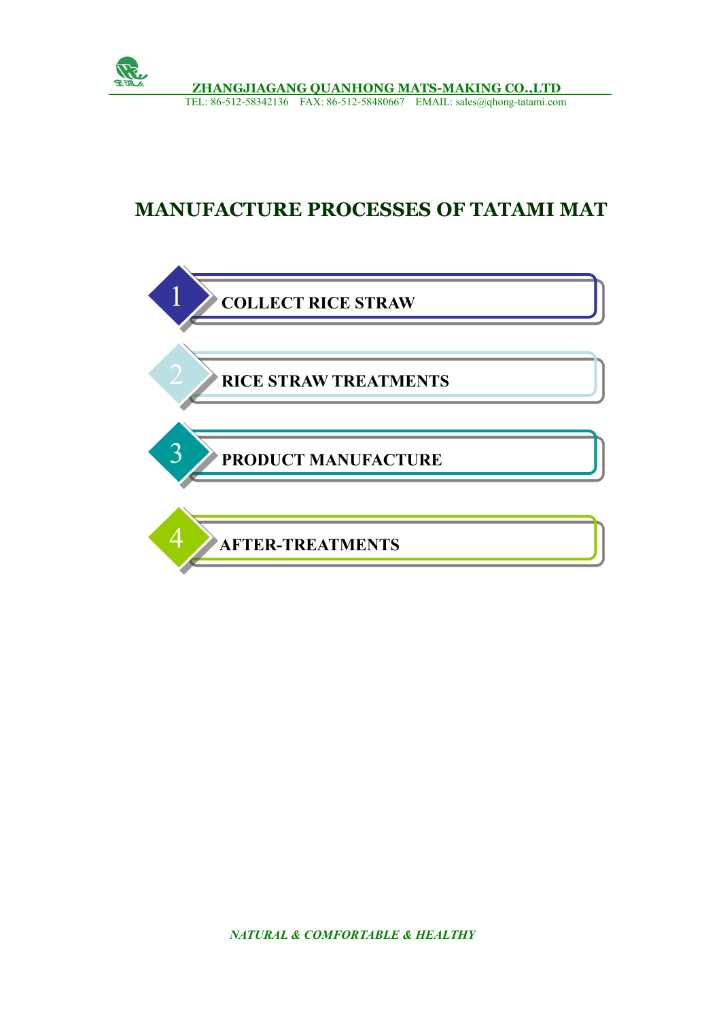

## **MANUFACTURE PROCESSES OF TATAMI MAT**

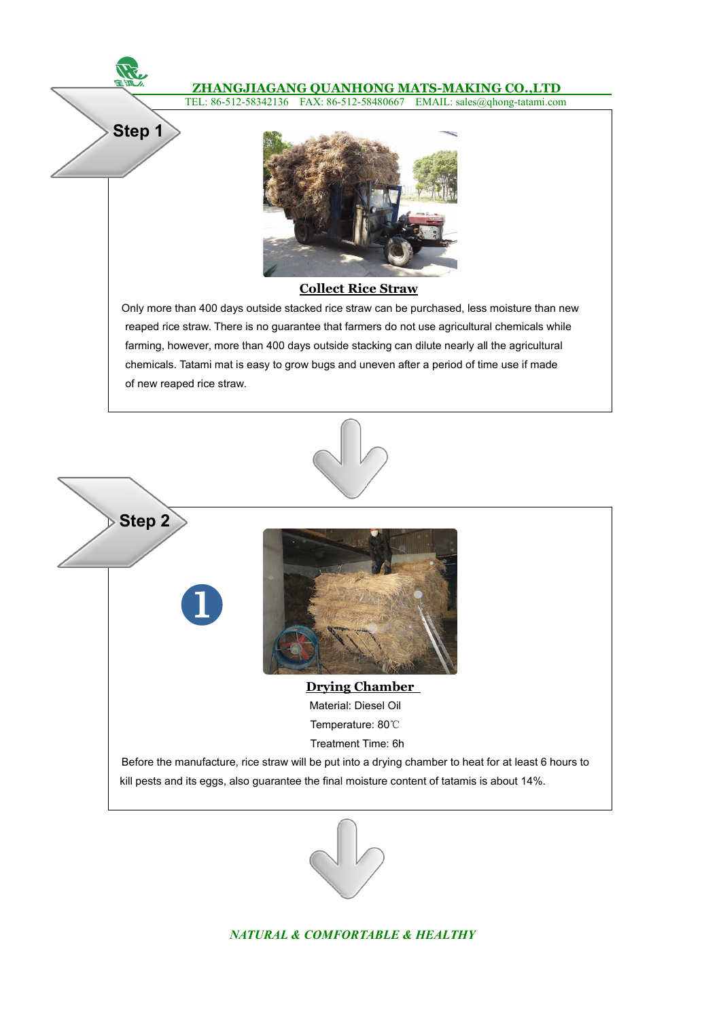## **ZHANGJIAGANG QUANHONG MATS-MAKING CO.,LTD**

TEL: 86-512-58342136 FAX: 86-512-58480667 EMAIL: sales@qhong-tatami.com



**Step 1**

## **Collect Rice Straw**

Only more than 400 days outside stacked rice straw can be purchased, less moisture than new reaped rice straw. There is no guarantee that farmers do not use agricultural chemicals while farming, however, more than 400 days outside stacking can dilute nearly all the agricultural chemicals. Tatami mat is easy to grow bugs and uneven after a period of time use if made of new reaped rice straw.





*NATURAL & COMFORTABLE & HEALTHY*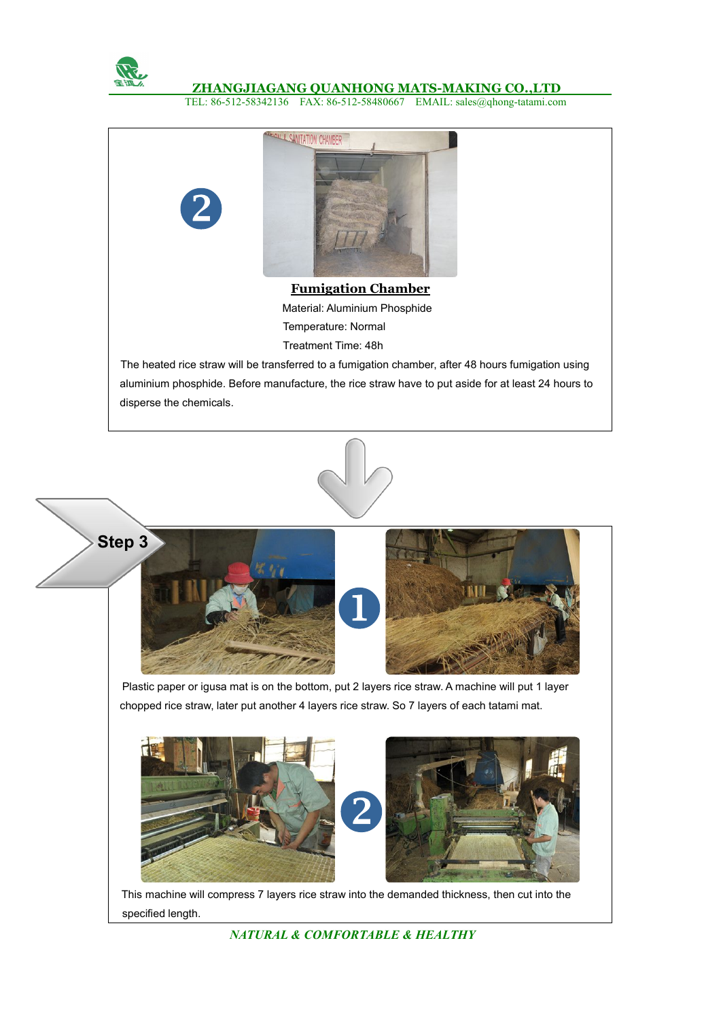

## **ZHANGJIAGANG QUANHONG MATS-MAKING CO.,LTD**

TEL: 86-512-58342136 FAX: 86-512-58480667 EMAIL: sales@qhong-tatami.com







This machine will compress 7 layers rice straw into the demanded thickness, then cut into the specified length.

*NATURAL & COMFORTABLE & HEALTHY*